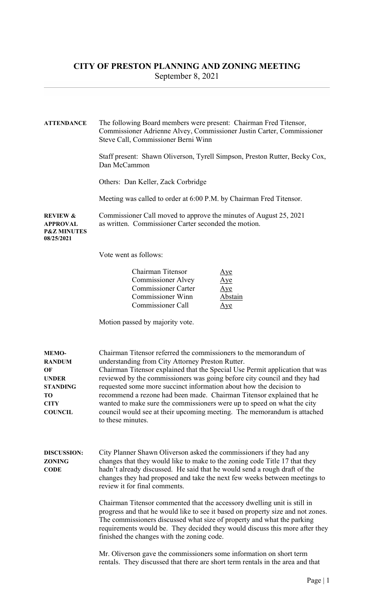## CITY OF PRESTON PLANNING AND ZONING MEETING September 8, 2021

| <b>ATTENDANCE</b>                                                                                             | The following Board members were present: Chairman Fred Titensor,<br>Commissioner Adrienne Alvey, Commissioner Justin Carter, Commissioner<br>Steve Call, Commissioner Berni Winn                                                                                                                                                                                                                                                                                                                                                                                                                           |
|---------------------------------------------------------------------------------------------------------------|-------------------------------------------------------------------------------------------------------------------------------------------------------------------------------------------------------------------------------------------------------------------------------------------------------------------------------------------------------------------------------------------------------------------------------------------------------------------------------------------------------------------------------------------------------------------------------------------------------------|
|                                                                                                               | Staff present: Shawn Oliverson, Tyrell Simpson, Preston Rutter, Becky Cox,<br>Dan McCammon                                                                                                                                                                                                                                                                                                                                                                                                                                                                                                                  |
|                                                                                                               | Others: Dan Keller, Zack Corbridge                                                                                                                                                                                                                                                                                                                                                                                                                                                                                                                                                                          |
|                                                                                                               | Meeting was called to order at 6:00 P.M. by Chairman Fred Titensor.                                                                                                                                                                                                                                                                                                                                                                                                                                                                                                                                         |
| <b>REVIEW &amp;</b><br><b>APPROVAL</b><br><b>P&amp;Z MINUTES</b><br>08/25/2021                                | Commissioner Call moved to approve the minutes of August 25, 2021<br>as written. Commissioner Carter seconded the motion.                                                                                                                                                                                                                                                                                                                                                                                                                                                                                   |
|                                                                                                               | Vote went as follows:                                                                                                                                                                                                                                                                                                                                                                                                                                                                                                                                                                                       |
|                                                                                                               | Chairman Titensor<br>Aye<br><b>Commissioner Alvey</b><br>$\mathop{\underline{\rm A}}$ ye<br><b>Commissioner Carter</b><br>Aye<br><b>Commissioner Winn</b><br>Abstain<br><b>Commissioner Call</b><br>Aye                                                                                                                                                                                                                                                                                                                                                                                                     |
|                                                                                                               | Motion passed by majority vote.                                                                                                                                                                                                                                                                                                                                                                                                                                                                                                                                                                             |
| <b>MEMO-</b><br><b>RANDUM</b><br>OF<br><b>UNDER</b><br><b>STANDING</b><br>TО<br><b>CITY</b><br><b>COUNCIL</b> | Chairman Titensor referred the commissioners to the memorandum of<br>understanding from City Attorney Preston Rutter.<br>Chairman Titensor explained that the Special Use Permit application that was<br>reviewed by the commissioners was going before city council and they had<br>requested some more succinct information about how the decision to<br>recommend a rezone had been made. Chairman Titensor explained that he<br>wanted to make sure the commissioners were up to speed on what the city<br>council would see at their upcoming meeting. The memorandum is attached<br>to these minutes. |
| <b>DISCUSSION:</b><br><b>ZONING</b><br><b>CODE</b>                                                            | City Planner Shawn Oliverson asked the commissioners if they had any<br>changes that they would like to make to the zoning code Title 17 that they<br>hadn't already discussed. He said that he would send a rough draft of the<br>changes they had proposed and take the next few weeks between meetings to<br>review it for final comments.                                                                                                                                                                                                                                                               |
|                                                                                                               | Chairman Titensor commented that the accessory dwelling unit is still in<br>progress and that he would like to see it based on property size and not zones.<br>The commissioners discussed what size of property and what the parking<br>requirements would be. They decided they would discuss this more after they<br>finished the changes with the zoning code.                                                                                                                                                                                                                                          |
|                                                                                                               | Mr. Oliverson gave the commissioners some information on short term<br>rentals. They discussed that there are short term rentals in the area and that                                                                                                                                                                                                                                                                                                                                                                                                                                                       |